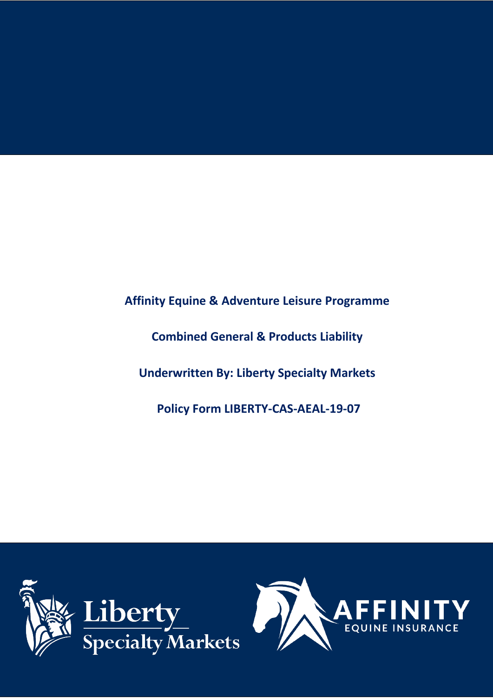**Affinity Equine & Adventure Leisure Programme**

**Combined General & Products Liability** 

**Underwritten By: Liberty Specialty Markets**

**Policy Form LIBERTY-CAS-AEAL-19-07** 



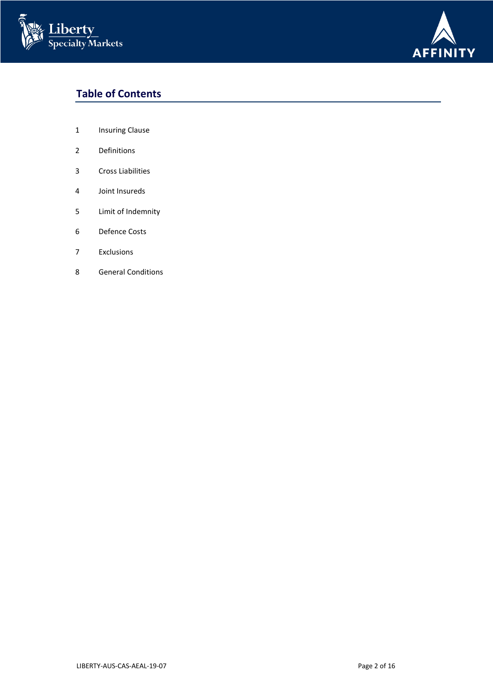



# **Table of Contents**

- 1 Insuring Clause
- Definitions
- Cross Liabilities
- Joint Insureds
- Limit of Indemnity
- Defence Costs
- Exclusions
- General Conditions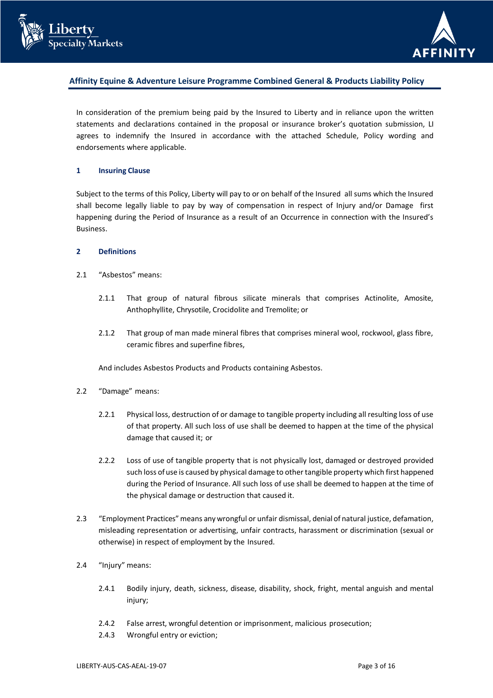



# **Affinity Equine & Adventure Leisure Programme Combined General & Products Liability Policy**

In consideration of the premium being paid by the Insured to Liberty and in reliance upon the written statements and declarations contained in the proposal or insurance broker's quotation submission, LI agrees to indemnify the Insured in accordance with the attached Schedule, Policy wording and endorsements where applicable.

#### **1 Insuring Clause**

Subject to the terms of this Policy, Liberty will pay to or on behalf of the Insured all sums which the Insured shall become legally liable to pay by way of compensation in respect of Injury and/or Damage first happening during the Period of Insurance as a result of an Occurrence in connection with the Insured's Business.

#### **2 Definitions**

- 2.1 "Asbestos" means:
	- 2.1.1 That group of natural fibrous silicate minerals that comprises Actinolite, Amosite, Anthophyllite, Chrysotile, Crocidolite and Tremolite; or
	- 2.1.2 That group of man made mineral fibres that comprises mineral wool, rockwool, glass fibre, ceramic fibres and superfine fibres,

And includes Asbestos Products and Products containing Asbestos.

- 2.2 "Damage" means:
	- 2.2.1 Physical loss, destruction of or damage to tangible property including all resulting loss of use of that property. All such loss of use shall be deemed to happen at the time of the physical damage that caused it; or
	- 2.2.2 Loss of use of tangible property that is not physically lost, damaged or destroyed provided such loss of use is caused by physical damage to other tangible property which first happened during the Period of Insurance. All such loss of use shall be deemed to happen at the time of the physical damage or destruction that caused it.
- 2.3 "Employment Practices" means any wrongful or unfair dismissal, denial of natural justice, defamation, misleading representation or advertising, unfair contracts, harassment or discrimination (sexual or otherwise) in respect of employment by the Insured.
- 2.4 "Injury" means:
	- 2.4.1 Bodily injury, death, sickness, disease, disability, shock, fright, mental anguish and mental injury;
	- 2.4.2 False arrest, wrongful detention or imprisonment, malicious prosecution;
	- 2.4.3 Wrongful entry or eviction;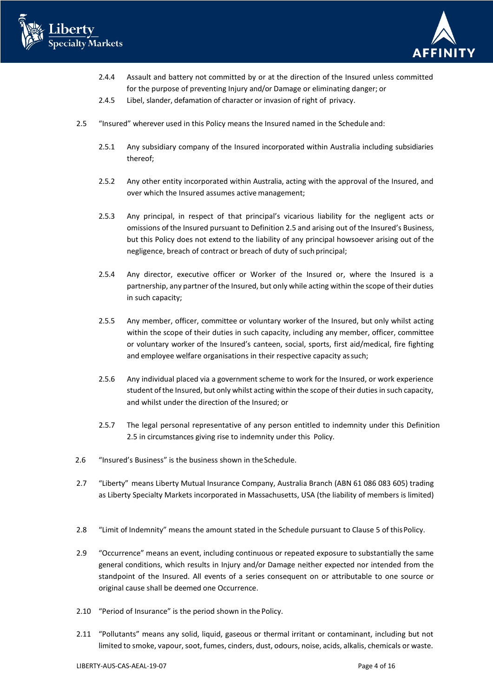



- 2.4.4 Assault and battery not committed by or at the direction of the Insured unless committed for the purpose of preventing Injury and/or Damage or eliminating danger; or
- 2.4.5 Libel, slander, defamation of character or invasion of right of privacy.
- 2.5 "Insured" wherever used in this Policy means the Insured named in the Schedule and:
	- 2.5.1 Any subsidiary company of the Insured incorporated within Australia including subsidiaries thereof;
	- 2.5.2 Any other entity incorporated within Australia, acting with the approval of the Insured, and over which the Insured assumes active management;
	- 2.5.3 Any principal, in respect of that principal's vicarious liability for the negligent acts or omissions of the Insured pursuant to Definition 2.5 and arising out of the Insured's Business, but this Policy does not extend to the liability of any principal howsoever arising out of the negligence, breach of contract or breach of duty of such principal;
	- 2.5.4 Any director, executive officer or Worker of the Insured or, where the Insured is a partnership, any partner of the Insured, but only while acting within the scope of their duties in such capacity;
	- 2.5.5 Any member, officer, committee or voluntary worker of the Insured, but only whilst acting within the scope of their duties in such capacity, including any member, officer, committee or voluntary worker of the Insured's canteen, social, sports, first aid/medical, fire fighting and employee welfare organisations in their respective capacity assuch;
	- 2.5.6 Any individual placed via a government scheme to work for the Insured, or work experience student of the Insured, but only whilst acting within the scope of their duties in such capacity, and whilst under the direction of the Insured; or
	- 2.5.7 The legal personal representative of any person entitled to indemnity under this Definition 2.5 in circumstances giving rise to indemnity under this Policy.
- 2.6 "Insured's Business" is the business shown in theSchedule.
- 2.7 "Liberty" means Liberty Mutual Insurance Company, Australia Branch (ABN 61 086 083 605) trading as Liberty Specialty Markets incorporated in Massachusetts, USA (the liability of members is limited)
- 2.8 "Limit of Indemnity" means the amount stated in the Schedule pursuant to Clause 5 of thisPolicy.
- 2.9 "Occurrence" means an event, including continuous or repeated exposure to substantially the same general conditions, which results in Injury and/or Damage neither expected nor intended from the standpoint of the Insured. All events of a series consequent on or attributable to one source or original cause shall be deemed one Occurrence.
- 2.10 "Period of Insurance" is the period shown in the Policy.
- 2.11 "Pollutants" means any solid, liquid, gaseous or thermal irritant or contaminant, including but not limited to smoke, vapour, soot, fumes, cinders, dust, odours, noise, acids, alkalis, chemicals or waste.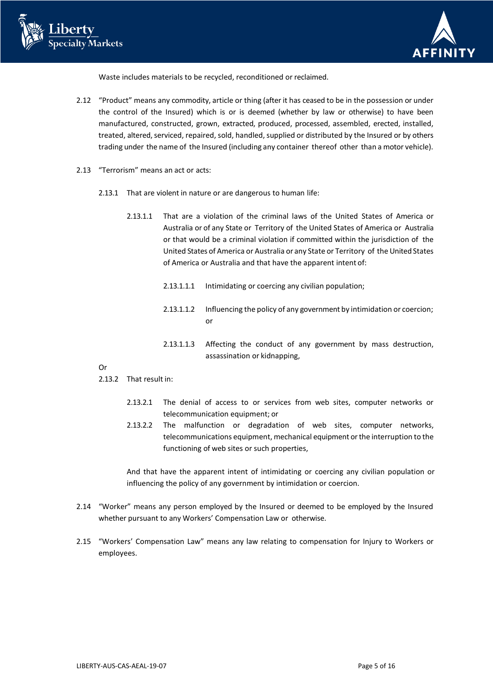



Waste includes materials to be recycled, reconditioned or reclaimed.

- 2.12 "Product" means any commodity, article or thing (after it has ceased to be in the possession or under the control of the Insured) which is or is deemed (whether by law or otherwise) to have been manufactured, constructed, grown, extracted, produced, processed, assembled, erected, installed, treated, altered, serviced, repaired, sold, handled, supplied or distributed by the Insured or by others trading under the name of the Insured (including any container thereof other than a motor vehicle).
- 2.13 "Terrorism" means an act or acts:
	- 2.13.1 That are violent in nature or are dangerous to human life:
		- 2.13.1.1 That are a violation of the criminal laws of the United States of America or Australia or of any State or Territory of the United States of America or Australia or that would be a criminal violation if committed within the jurisdiction of the United States of America or Australia or any State or Territory of the United States of America or Australia and that have the apparent intent of:
			- 2.13.1.1.1 Intimidating or coercing any civilian population;
			- 2.13.1.1.2 Influencing the policy of any government by intimidation or coercion; or
			- 2.13.1.1.3 Affecting the conduct of any government by mass destruction, assassination or kidnapping,

Or

- 2.13.2 That result in:
	- 2.13.2.1 The denial of access to or services from web sites, computer networks or telecommunication equipment; or
	- 2.13.2.2 The malfunction or degradation of web sites, computer networks, telecommunications equipment, mechanical equipment or the interruption to the functioning of web sites or such properties,

And that have the apparent intent of intimidating or coercing any civilian population or influencing the policy of any government by intimidation or coercion.

- 2.14 "Worker" means any person employed by the Insured or deemed to be employed by the Insured whether pursuant to any Workers' Compensation Law or otherwise.
- 2.15 "Workers' Compensation Law" means any law relating to compensation for Injury to Workers or employees.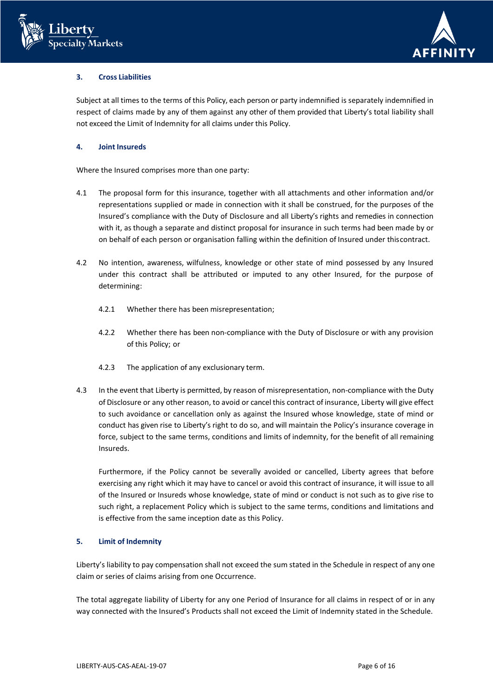



# **3. Cross Liabilities**

Subject at all times to the terms of this Policy, each person or party indemnified is separately indemnified in respect of claims made by any of them against any other of them provided that Liberty's total liability shall not exceed the Limit of Indemnity for all claims under this Policy.

# **4. Joint Insureds**

Where the Insured comprises more than one party:

- 4.1 The proposal form for this insurance, together with all attachments and other information and/or representations supplied or made in connection with it shall be construed, for the purposes of the Insured's compliance with the Duty of Disclosure and all Liberty's rights and remedies in connection with it, as though a separate and distinct proposal for insurance in such terms had been made by or on behalf of each person or organisation falling within the definition of Insured under thiscontract.
- 4.2 No intention, awareness, wilfulness, knowledge or other state of mind possessed by any Insured under this contract shall be attributed or imputed to any other Insured, for the purpose of determining:
	- 4.2.1 Whether there has been misrepresentation;
	- 4.2.2 Whether there has been non-compliance with the Duty of Disclosure or with any provision of this Policy; or
	- 4.2.3 The application of any exclusionary term.
- 4.3 In the event that Liberty is permitted, by reason of misrepresentation, non-compliance with the Duty of Disclosure or any other reason, to avoid or cancel this contract of insurance, Liberty will give effect to such avoidance or cancellation only as against the Insured whose knowledge, state of mind or conduct has given rise to Liberty's right to do so, and will maintain the Policy's insurance coverage in force, subject to the same terms, conditions and limits of indemnity, for the benefit of all remaining Insureds.

Furthermore, if the Policy cannot be severally avoided or cancelled, Liberty agrees that before exercising any right which it may have to cancel or avoid this contract of insurance, it will issue to all of the Insured or Insureds whose knowledge, state of mind or conduct is not such as to give rise to such right, a replacement Policy which is subject to the same terms, conditions and limitations and is effective from the same inception date as this Policy.

## **5. Limit of Indemnity**

Liberty's liability to pay compensation shall not exceed the sum stated in the Schedule in respect of any one claim or series of claims arising from one Occurrence.

The total aggregate liability of Liberty for any one Period of Insurance for all claims in respect of or in any way connected with the Insured's Products shall not exceed the Limit of Indemnity stated in the Schedule.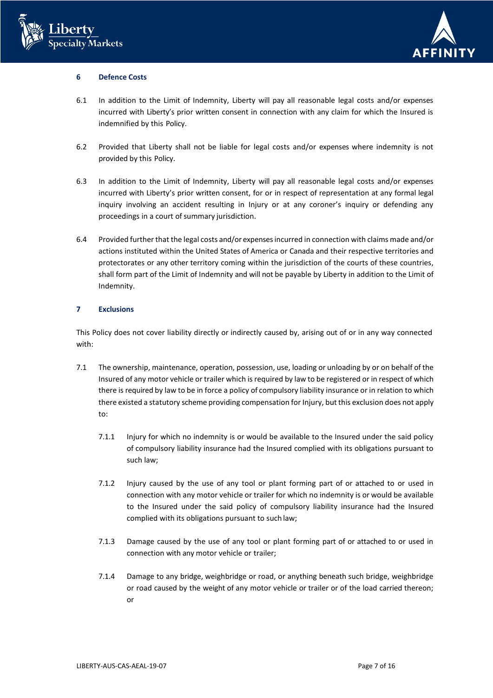



## **6 Defence Costs**

- 6.1 In addition to the Limit of Indemnity, Liberty will pay all reasonable legal costs and/or expenses incurred with Liberty's prior written consent in connection with any claim for which the Insured is indemnified by this Policy.
- 6.2 Provided that Liberty shall not be liable for legal costs and/or expenses where indemnity is not provided by this Policy.
- 6.3 In addition to the Limit of Indemnity, Liberty will pay all reasonable legal costs and/or expenses incurred with Liberty's prior written consent, for or in respect of representation at any formal legal inquiry involving an accident resulting in Injury or at any coroner's inquiry or defending any proceedings in a court of summary jurisdiction.
- 6.4 Provided further that the legal costs and/or expenses incurred in connection with claims made and/or actions instituted within the United States of America or Canada and their respective territories and protectorates or any other territory coming within the jurisdiction of the courts of these countries, shall form part of the Limit of Indemnity and will not be payable by Liberty in addition to the Limit of Indemnity.

## **7 Exclusions**

This Policy does not cover liability directly or indirectly caused by, arising out of or in any way connected with:

- 7.1 The ownership, maintenance, operation, possession, use, loading or unloading by or on behalf of the Insured of any motor vehicle or trailer which is required by law to be registered or in respect of which there is required by law to be in force a policy of compulsory liability insurance or in relation to which there existed a statutory scheme providing compensation for Injury, but this exclusion does not apply to:
	- 7.1.1 Injury for which no indemnity is or would be available to the Insured under the said policy of compulsory liability insurance had the Insured complied with its obligations pursuant to such law;
	- 7.1.2 Injury caused by the use of any tool or plant forming part of or attached to or used in connection with any motor vehicle or trailer for which no indemnity is or would be available to the Insured under the said policy of compulsory liability insurance had the Insured complied with its obligations pursuant to such law;
	- 7.1.3 Damage caused by the use of any tool or plant forming part of or attached to or used in connection with any motor vehicle or trailer;
	- 7.1.4 Damage to any bridge, weighbridge or road, or anything beneath such bridge, weighbridge or road caused by the weight of any motor vehicle or trailer or of the load carried thereon; or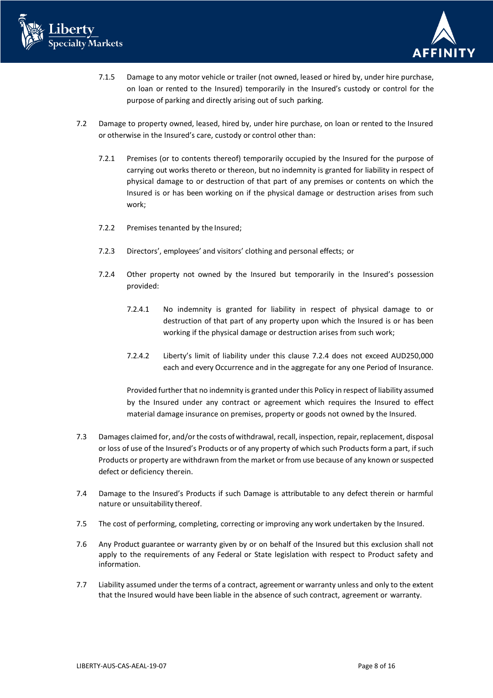



- 7.1.5 Damage to any motor vehicle or trailer (not owned, leased or hired by, under hire purchase, on loan or rented to the Insured) temporarily in the Insured's custody or control for the purpose of parking and directly arising out of such parking.
- 7.2 Damage to property owned, leased, hired by, under hire purchase, on loan or rented to the Insured or otherwise in the Insured's care, custody or control other than:
	- 7.2.1 Premises (or to contents thereof) temporarily occupied by the Insured for the purpose of carrying out works thereto or thereon, but no indemnity is granted for liability in respect of physical damage to or destruction of that part of any premises or contents on which the Insured is or has been working on if the physical damage or destruction arises from such work;
	- 7.2.2 Premises tenanted by the Insured;
	- 7.2.3 Directors', employees' and visitors' clothing and personal effects; or
	- 7.2.4 Other property not owned by the Insured but temporarily in the Insured's possession provided:
		- 7.2.4.1 No indemnity is granted for liability in respect of physical damage to or destruction of that part of any property upon which the Insured is or has been working if the physical damage or destruction arises from such work;
		- 7.2.4.2 Liberty's limit of liability under this clause 7.2.4 does not exceed AUD250,000 each and every Occurrence and in the aggregate for any one Period of Insurance.

Provided further that no indemnity is granted under this Policy in respect of liability assumed by the Insured under any contract or agreement which requires the Insured to effect material damage insurance on premises, property or goods not owned by the Insured.

- 7.3 Damages claimed for, and/or the costs of withdrawal, recall, inspection, repair, replacement, disposal or loss of use of the Insured's Products or of any property of which such Products form a part, if such Products or property are withdrawn from the market or from use because of any known or suspected defect or deficiency therein.
- 7.4 Damage to the Insured's Products if such Damage is attributable to any defect therein or harmful nature or unsuitability thereof.
- 7.5 The cost of performing, completing, correcting or improving any work undertaken by the Insured.
- 7.6 Any Product guarantee or warranty given by or on behalf of the Insured but this exclusion shall not apply to the requirements of any Federal or State legislation with respect to Product safety and information.
- 7.7 Liability assumed under the terms of a contract, agreement or warranty unless and only to the extent that the Insured would have been liable in the absence of such contract, agreement or warranty.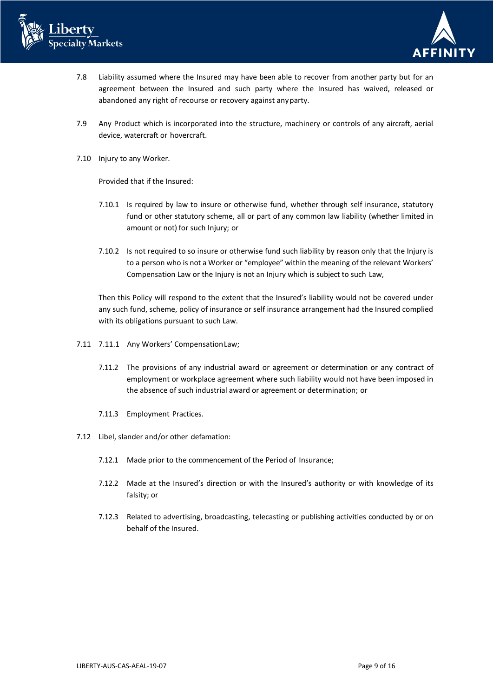



- 7.8 Liability assumed where the Insured may have been able to recover from another party but for an agreement between the Insured and such party where the Insured has waived, released or abandoned any right of recourse or recovery against anyparty.
- 7.9 Any Product which is incorporated into the structure, machinery or controls of any aircraft, aerial device, watercraft or hovercraft.
- 7.10 Injury to any Worker.

Provided that if the Insured:

- 7.10.1 Is required by law to insure or otherwise fund, whether through self insurance, statutory fund or other statutory scheme, all or part of any common law liability (whether limited in amount or not) for such Injury; or
- 7.10.2 Is not required to so insure or otherwise fund such liability by reason only that the Injury is to a person who is not a Worker or "employee" within the meaning of the relevant Workers' Compensation Law or the Injury is not an Injury which is subject to such Law,

Then this Policy will respond to the extent that the Insured's liability would not be covered under any such fund, scheme, policy of insurance or self insurance arrangement had the Insured complied with its obligations pursuant to such Law.

- 7.11 7.11.1 Any Workers' CompensationLaw;
	- 7.11.2 The provisions of any industrial award or agreement or determination or any contract of employment or workplace agreement where such liability would not have been imposed in the absence of such industrial award or agreement or determination; or
	- 7.11.3 Employment Practices.
- 7.12 Libel, slander and/or other defamation:
	- 7.12.1 Made prior to the commencement of the Period of Insurance;
	- 7.12.2 Made at the Insured's direction or with the Insured's authority or with knowledge of its falsity; or
	- 7.12.3 Related to advertising, broadcasting, telecasting or publishing activities conducted by or on behalf of the Insured.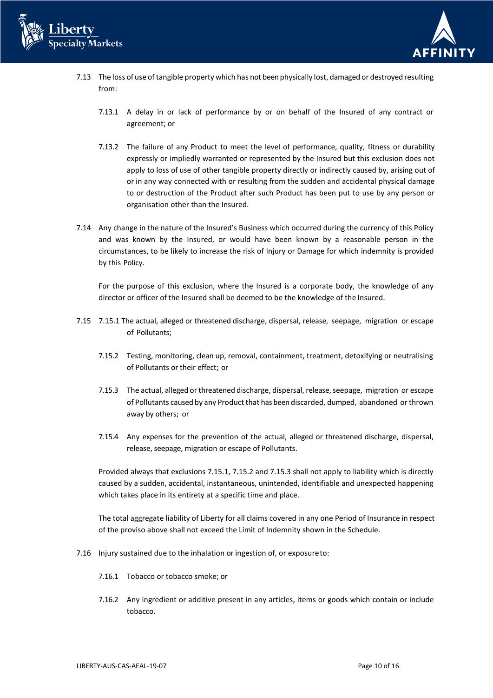



- 7.13 The loss of use of tangible property which has not been physically lost, damaged or destroyed resulting from:
	- 7.13.1 A delay in or lack of performance by or on behalf of the Insured of any contract or agreement; or
	- 7.13.2 The failure of any Product to meet the level of performance, quality, fitness or durability expressly or impliedly warranted or represented by the Insured but this exclusion does not apply to loss of use of other tangible property directly or indirectly caused by, arising out of or in any way connected with or resulting from the sudden and accidental physical damage to or destruction of the Product after such Product has been put to use by any person or organisation other than the Insured.
- 7.14 Any change in the nature of the Insured's Business which occurred during the currency of this Policy and was known by the Insured, or would have been known by a reasonable person in the circumstances, to be likely to increase the risk of Injury or Damage for which indemnity is provided by this Policy.

For the purpose of this exclusion, where the Insured is a corporate body, the knowledge of any director or officer of the Insured shall be deemed to be the knowledge of the Insured.

- 7.15 7.15.1 The actual, alleged or threatened discharge, dispersal, release, seepage, migration or escape of Pollutants;
	- 7.15.2 Testing, monitoring, clean up, removal, containment, treatment, detoxifying or neutralising of Pollutants or their effect; or
	- 7.15.3 The actual, alleged or threatened discharge, dispersal, release, seepage, migration or escape of Pollutants caused by any Product that has been discarded, dumped, abandoned or thrown away by others; or
	- 7.15.4 Any expenses for the prevention of the actual, alleged or threatened discharge, dispersal, release, seepage, migration or escape of Pollutants.

Provided always that exclusions 7.15.1, 7.15.2 and 7.15.3 shall not apply to liability which is directly caused by a sudden, accidental, instantaneous, unintended, identifiable and unexpected happening which takes place in its entirety at a specific time and place.

The total aggregate liability of Liberty for all claims covered in any one Period of Insurance in respect of the proviso above shall not exceed the Limit of Indemnity shown in the Schedule.

- 7.16 Injury sustained due to the inhalation or ingestion of, or exposureto:
	- 7.16.1 Tobacco or tobacco smoke; or
	- 7.16.2 Any ingredient or additive present in any articles, items or goods which contain or include tobacco.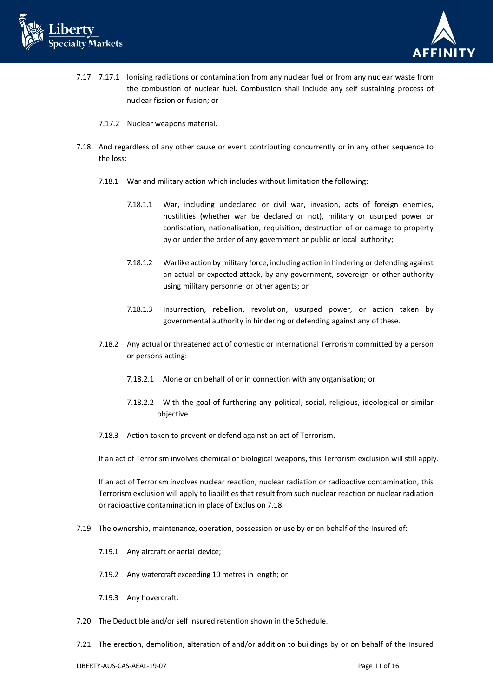



- 7.17 7.17.1 Ionising radiations or contamination from any nuclear fuel or from any nuclear waste from the combustion of nuclear fuel. Combustion shall include any self sustaining process of nuclear fission or fusion; or
	- 7.17.2 Nuclear weapons material.
- 7.18 And regardless of any other cause or event contributing concurrently or in any other sequence to the loss:
	- 7.18.1 War and military action which includes without limitation the following:
		- 7.18.1.1 War, including undeclared or civil war, invasion, acts of foreign enemies, hostilities (whether war be declared or not), military or usurped power or confiscation, nationalisation, requisition, destruction of or damage to property by or under the order of any government or public or local authority;
		- 7.18.1.2 Warlike action by military force, including action in hindering or defending against an actual or expected attack, by any government, sovereign or other authority using military personnel or other agents; or
		- 7.18.1.3 Insurrection, rebellion, revolution, usurped power, or action taken by governmental authority in hindering or defending against any of these.
	- 7.18.2 Any actual or threatened act of domestic or international Terrorism committed by a person or persons acting:
		- 7.18.2.1 Alone or on behalf of or in connection with any organisation; or
		- 7.18.2.2 With the goal of furthering any political, social, religious, ideological or similar objective.
	- 7.18.3 Action taken to prevent or defend against an act of Terrorism.

If an act of Terrorism involves chemical or biological weapons, this Terrorism exclusion will still apply.

If an act of Terrorism involves nuclear reaction, nuclear radiation or radioactive contamination, this Terrorism exclusion will apply to liabilities that result from such nuclear reaction or nuclear radiation or radioactive contamination in place of Exclusion 7.18.

- 7.19 The ownership, maintenance, operation, possession or use by or on behalf of the Insured of:
	- 7.19.1 Any aircraft or aerial device;
	- 7.19.2 Any watercraft exceeding 10 metres in length; or
	- 7.19.3 Any hovercraft.
- 7.20 The Deductible and/or self insured retention shown in the Schedule.
- 7.21 The erection, demolition, alteration of and/or addition to buildings by or on behalf of the Insured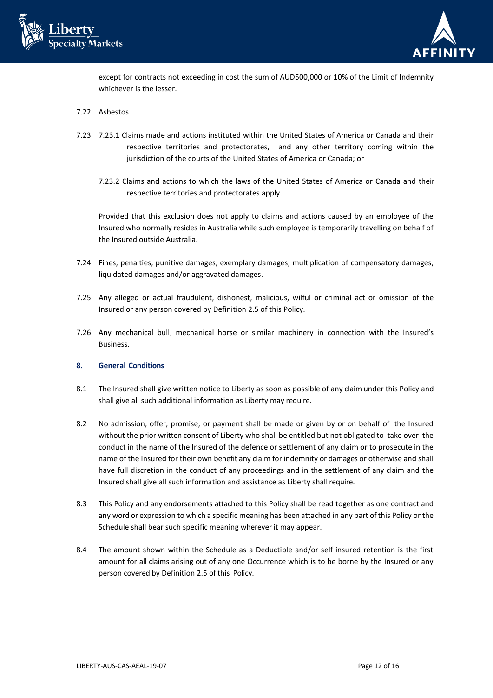



except for contracts not exceeding in cost the sum of AUD500,000 or 10% of the Limit of Indemnity whichever is the lesser.

- 7.22 Asbestos.
- 7.23 7.23.1 Claims made and actions instituted within the United States of America or Canada and their respective territories and protectorates, and any other territory coming within the jurisdiction of the courts of the United States of America or Canada; or
	- 7.23.2 Claims and actions to which the laws of the United States of America or Canada and their respective territories and protectorates apply.

Provided that this exclusion does not apply to claims and actions caused by an employee of the Insured who normally resides in Australia while such employee is temporarily travelling on behalf of the Insured outside Australia.

- 7.24 Fines, penalties, punitive damages, exemplary damages, multiplication of compensatory damages, liquidated damages and/or aggravated damages.
- 7.25 Any alleged or actual fraudulent, dishonest, malicious, wilful or criminal act or omission of the Insured or any person covered by Definition 2.5 of this Policy.
- 7.26 Any mechanical bull, mechanical horse or similar machinery in connection with the Insured's Business.

## **8. General Conditions**

- 8.1 The Insured shall give written notice to Liberty as soon as possible of any claim under this Policy and shall give all such additional information as Liberty may require.
- 8.2 No admission, offer, promise, or payment shall be made or given by or on behalf of the Insured without the prior written consent of Liberty who shall be entitled but not obligated to take over the conduct in the name of the Insured of the defence or settlement of any claim or to prosecute in the name of the Insured for their own benefit any claim for indemnity or damages or otherwise and shall have full discretion in the conduct of any proceedings and in the settlement of any claim and the Insured shall give all such information and assistance as Liberty shall require.
- 8.3 This Policy and any endorsements attached to this Policy shall be read together as one contract and any word or expression to which a specific meaning has been attached in any part of this Policy or the Schedule shall bear such specific meaning wherever it may appear.
- 8.4 The amount shown within the Schedule as a Deductible and/or self insured retention is the first amount for all claims arising out of any one Occurrence which is to be borne by the Insured or any person covered by Definition 2.5 of this Policy.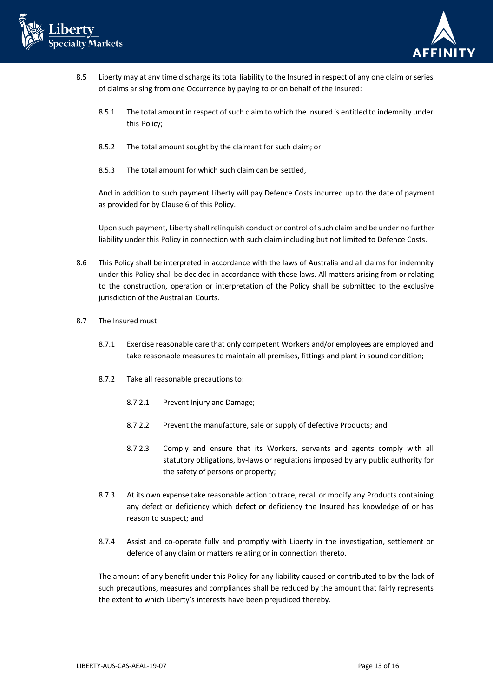



- 8.5 Liberty may at any time discharge its total liability to the Insured in respect of any one claim or series of claims arising from one Occurrence by paying to or on behalf of the Insured:
	- 8.5.1 The total amount in respect of such claim to which the Insured is entitled to indemnity under this Policy;
	- 8.5.2 The total amount sought by the claimant for such claim; or
	- 8.5.3 The total amount for which such claim can be settled,

And in addition to such payment Liberty will pay Defence Costs incurred up to the date of payment as provided for by Clause 6 of this Policy.

Upon such payment, Liberty shall relinquish conduct or control of such claim and be under no further liability under this Policy in connection with such claim including but not limited to Defence Costs.

- 8.6 This Policy shall be interpreted in accordance with the laws of Australia and all claims for indemnity under this Policy shall be decided in accordance with those laws. All matters arising from or relating to the construction, operation or interpretation of the Policy shall be submitted to the exclusive jurisdiction of the Australian Courts.
- 8.7 The Insured must:
	- 8.7.1 Exercise reasonable care that only competent Workers and/or employees are employed and take reasonable measures to maintain all premises, fittings and plant in sound condition;
	- 8.7.2 Take all reasonable precautionsto:
		- 8.7.2.1 Prevent Injury and Damage;
		- 8.7.2.2 Prevent the manufacture, sale or supply of defective Products; and
		- 8.7.2.3 Comply and ensure that its Workers, servants and agents comply with all statutory obligations, by-laws or regulations imposed by any public authority for the safety of persons or property;
	- 8.7.3 At its own expense take reasonable action to trace, recall or modify any Products containing any defect or deficiency which defect or deficiency the Insured has knowledge of or has reason to suspect; and
	- 8.7.4 Assist and co-operate fully and promptly with Liberty in the investigation, settlement or defence of any claim or matters relating or in connection thereto.

The amount of any benefit under this Policy for any liability caused or contributed to by the lack of such precautions, measures and compliances shall be reduced by the amount that fairly represents the extent to which Liberty's interests have been prejudiced thereby.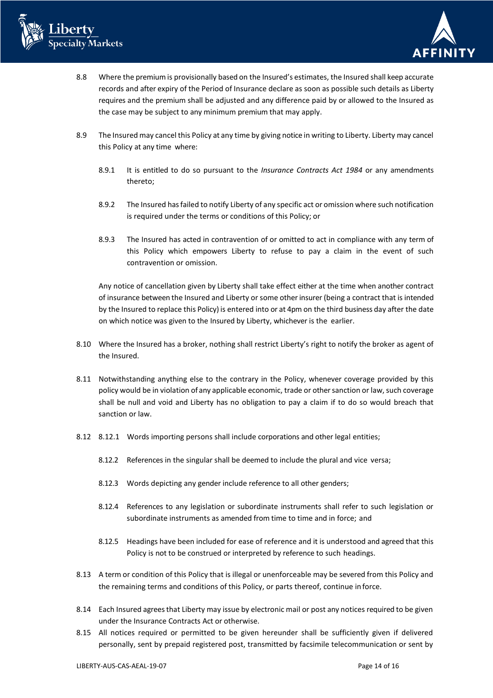



- 8.8 Where the premium is provisionally based on the Insured's estimates, the Insured shall keep accurate records and after expiry of the Period of Insurance declare as soon as possible such details as Liberty requires and the premium shall be adjusted and any difference paid by or allowed to the Insured as the case may be subject to any minimum premium that may apply.
- 8.9 The Insured may cancel this Policy at any time by giving notice in writing to Liberty. Liberty may cancel this Policy at any time where:
	- 8.9.1 It is entitled to do so pursuant to the *Insurance Contracts Act 1984* or any amendments thereto;
	- 8.9.2 The Insured has failed to notify Liberty of any specific act or omission where such notification is required under the terms or conditions of this Policy; or
	- 8.9.3 The Insured has acted in contravention of or omitted to act in compliance with any term of this Policy which empowers Liberty to refuse to pay a claim in the event of such contravention or omission.

Any notice of cancellation given by Liberty shall take effect either at the time when another contract of insurance between the Insured and Liberty or some other insurer (being a contract that is intended by the Insured to replace this Policy) is entered into or at 4pm on the third business day after the date on which notice was given to the Insured by Liberty, whichever is the earlier.

- 8.10 Where the Insured has a broker, nothing shall restrict Liberty's right to notify the broker as agent of the Insured.
- 8.11 Notwithstanding anything else to the contrary in the Policy, whenever coverage provided by this policy would be in violation of any applicable economic, trade or other sanction or law, such coverage shall be null and void and Liberty has no obligation to pay a claim if to do so would breach that sanction or law.
- 8.12 8.12.1 Words importing persons shall include corporations and other legal entities;
	- 8.12.2 References in the singular shall be deemed to include the plural and vice versa;
	- 8.12.3 Words depicting any gender include reference to all other genders;
	- 8.12.4 References to any legislation or subordinate instruments shall refer to such legislation or subordinate instruments as amended from time to time and in force; and
	- 8.12.5 Headings have been included for ease of reference and it is understood and agreed that this Policy is not to be construed or interpreted by reference to such headings.
- 8.13 A term or condition of this Policy that is illegal or unenforceable may be severed from this Policy and the remaining terms and conditions of this Policy, or parts thereof, continue in force.
- 8.14 Each Insured agrees that Liberty may issue by electronic mail or post any notices required to be given under the Insurance Contracts Act or otherwise.
- 8.15 All notices required or permitted to be given hereunder shall be sufficiently given if delivered personally, sent by prepaid registered post, transmitted by facsimile telecommunication or sent by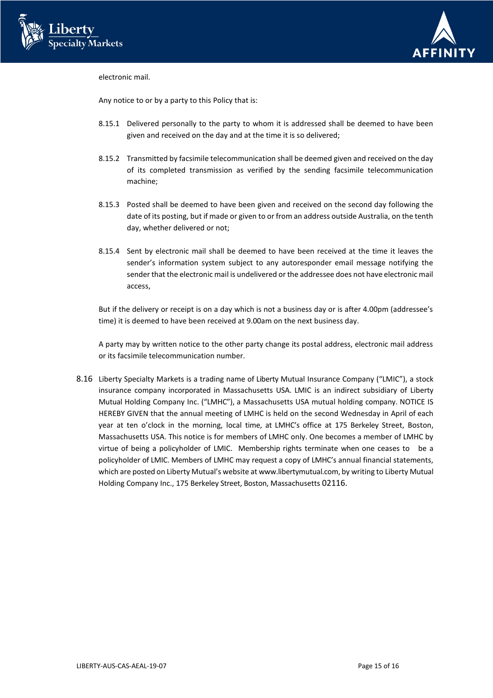



electronic mail.

Any notice to or by a party to this Policy that is:

- 8.15.1 Delivered personally to the party to whom it is addressed shall be deemed to have been given and received on the day and at the time it is so delivered;
- 8.15.2 Transmitted by facsimile telecommunication shall be deemed given and received on the day of its completed transmission as verified by the sending facsimile telecommunication machine;
- 8.15.3 Posted shall be deemed to have been given and received on the second day following the date of its posting, but if made or given to or from an address outside Australia, on the tenth day, whether delivered or not;
- 8.15.4 Sent by electronic mail shall be deemed to have been received at the time it leaves the sender's information system subject to any autoresponder email message notifying the sender that the electronic mail is undelivered or the addressee does not have electronic mail access,

But if the delivery or receipt is on a day which is not a business day or is after 4.00pm (addressee's time) it is deemed to have been received at 9.00am on the next business day.

A party may by written notice to the other party change its postal address, electronic mail address or its facsimile telecommunication number.

8.16 Liberty Specialty Markets is a trading name of Liberty Mutual Insurance Company ("LMIC"), a stock insurance company incorporated in Massachusetts USA. LMIC is an indirect subsidiary of Liberty Mutual Holding Company Inc. ("LMHC"), a Massachusetts USA mutual holding company. NOTICE IS HEREBY GIVEN that the annual meeting of LMHC is held on the second Wednesday in April of each year at ten o'clock in the morning, local time, at LMHC's office at 175 Berkeley Street, Boston, Massachusetts USA. This notice is for members of LMHC only. One becomes a member of LMHC by virtue of being a policyholder of LMIC. Membership rights terminate when one ceases to be a policyholder of LMIC. Members of LMHC may request a copy of LMHC's annual financial statements, which are posted on Liberty Mutual's website at [www.libertymutual.com,](http://www.libertymutual.com/) by writing to Liberty Mutual Holding Company Inc., 175 Berkeley Street, Boston, Massachusetts 02116.